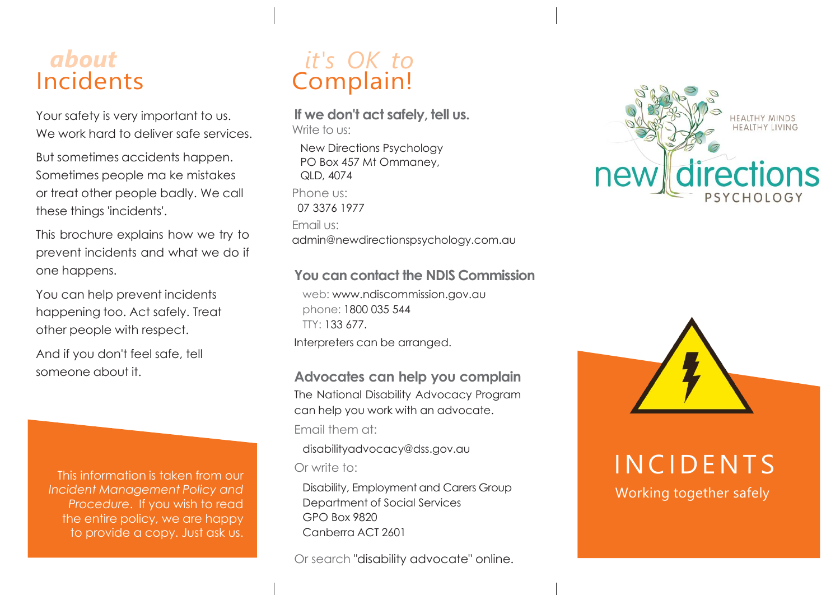## *about* Incidents

Your safety is very important to us. We work hard to deliver safe services.

But sometimes accidents happen. Sometimes people ma ke mistakes or treat other people badly. We call these things 'incidents'.

This brochure explains how we try to prevent incidents and what we do if one happens.

You can help prevent incidents happening too. Act safely. Treat other people with respect.

And if you don't feel safe, tell someone about it.

This information is taken from our *Incident Management Policy and Procedure*. If you wish to read the entire policy, we are happy to provide a copy. Just ask us.

## *it's OK to* Complain!

**If we don't act safely, tell us.** Write to us:

New Directions Psychology PO Box 457 Mt Ommaney, QLD, 4074 Phone us: 07 3376 1977 Email us: admin@newdirectionspsychology.com.au

#### **You can contact the NDIS Commission**

web: [www.ndiscommission.gov.au](http://www.ndiscommission.gov.au/)  phone: 1800 035 544 TTY: 133 677. Interpreters can be arranged.

**Advocates can help you complain** 

The National Disability Advocacy Program can help you work with an advocate. Email them at:

[disabilityadvocacy@dss.gov.au](mailto:disabilityadvocacy@dss.gov.au) Or write to:

Disability, Employment and Carers Group Department of Social Services GPO Box 9820 Canberra ACT 2601

Or search "disability advocate" online.





**INCIDENTS** 

Working together safely